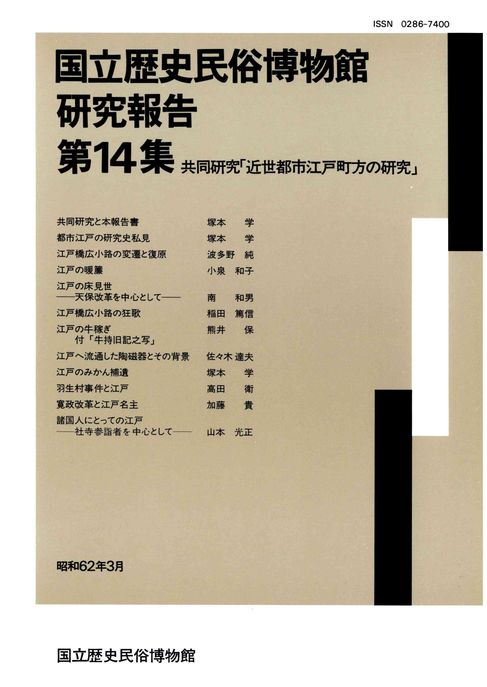# 国立歴史民俗博物館 研究報告 第14集 共同研究近世都市江戸町方の研究」

| 共同研究と本報告書                     | 塚本     | 学  |
|-------------------------------|--------|----|
| 都市江戸の研究史私見                    | 塚本     | 学  |
| 江戸橋広小路の変遷と復原                  | 波多野    | 純  |
| 江戸の暖簾                         | 小泉     | 和子 |
| 江戸の床見世<br>---天保改革を中心として--     | 南      | 和男 |
| 江戸橋広小路の狂歌                     | 稲田     | 篤信 |
| 江戸の牛稼ぎ<br>付「牛持旧記之写」           | 熊井     | 保  |
| 江戸へ流通した陶磁器とその背景               | 佐々木 達夫 |    |
| 江戸のみかん補遺                      | 塚本     | 学  |
| 羽生村事件と江戸                      | 高田     | 衛  |
| 寛政改革と江戸名主                     | 加藤     | 貴  |
| 諸国人にとっての江戸<br>――社寺参詣者を中心として―― | 山本 光正  |    |
|                               |        |    |

昭和62年3月

### 国立歴史民俗博物館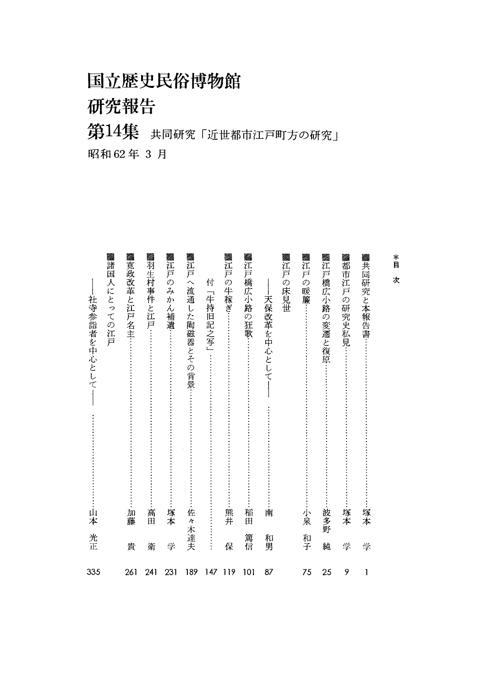国立歴史民俗博物館

研究報告

第14集 共同研究「近世都市江戸町方の研究」 昭和62年3月

| ▓共同研究と本報告書:<br>塚本         | 学  | 1   |
|---------------------------|----|-----|
| ▓都市江戸の研究史私見<br>-塚本        | 学  | 9   |
| ▓江戸橋広小路の変遷と復原<br>波多野      | 純  | 25  |
| ▓江戸の暖簾…<br>小泉             | 和子 | 75  |
| ▓江戸の床見世                   |    |     |
| 天保改革を中心として<br>南           | 和男 | 87  |
| ▓江戸橋広小路の狂歌:<br>稲田         | 篤信 | 101 |
| ▓江戸の牛稼ぎ…<br>熊井            | 保  | 119 |
| 付<br>「牛持旧記之写」             |    | 147 |
| ▓江戸へ流通した陶磁器とその背景<br>佐々木達夫 |    | 189 |
| ▓江戸のみか<br>,ん補遺<br>塚本      | 学  | 231 |
| ▓羽生村事件と江戸:<br>高田          | 衛  | 241 |
| ▓寛政改革と江戸名主…<br>加藤         | 貴  | 261 |
| ▓諸国人にとっての江戸               |    |     |
| 社寺参詣者を中心として<br>山本         | 光正 | 335 |

 $\mathop{}_{\bigsqcup}^*$ 次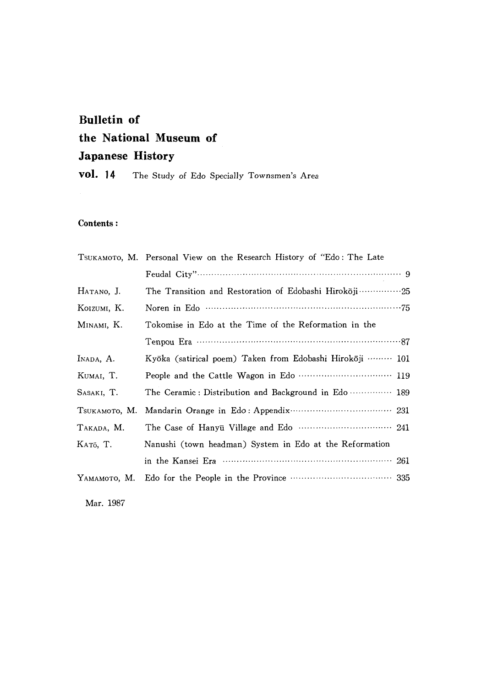## Bulletin of the National Museum of Japanese History

vol. 14 The Study of Edo Specially Townsmen's Area

#### Contents:

|               | TSUKAMOTO, M. Personal View on the Research History of "Edo: The Late |
|---------------|-----------------------------------------------------------------------|
|               |                                                                       |
| HATANO, J.    | The Transition and Restoration of Edobashi Hirokoji 25                |
| KOIZUMI, K.   |                                                                       |
| MINAMI, K.    | Tokomise in Edo at the Time of the Reformation in the                 |
|               |                                                                       |
| INADA, A.     | Kyōka (satirical poem) Taken from Edobashi Hirokōji ……… 101           |
| KUMAI, T.     |                                                                       |
| SASAKI, T.    | The Ceramic: Distribution and Background in Edo  189                  |
| TSUKAMOTO, M. |                                                                       |
| TAKADA, M.    |                                                                       |
| KATō, T.      | Nanushi (town headman) System in Edo at the Reformation               |
|               |                                                                       |
|               |                                                                       |
|               |                                                                       |

Mar.1987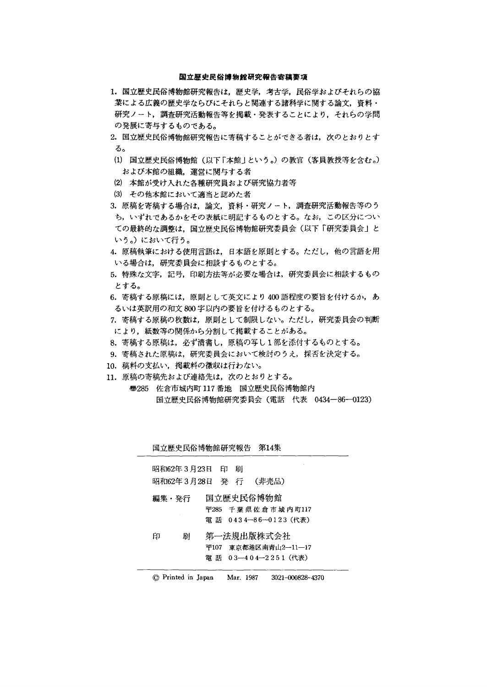#### 国立歴史民俗博物館研究報告寄稿要項

- 1. 国立歴史民俗博物館研究報告は、歴史学、考古学、民俗学およびそれらの協 業による広義の歴史学ならびにそれらと関連する諸科学に関する論文、資料・ 研究ノート,調査研究活動報告等を掲載・発表することにより,それらの学問 の発展に寄与するものである。
- 2. 国立歴史民俗博物館研究報告に寄稿することができる者は、次のとおりとす る。
- (1)国立歴史民俗博物館(以下「本館」という。)の教官(客員教授等を含む。) および本館の組織,運営に関与する者
- ② 本館が受け入れた各種研究員および研究協力者等
- (3)その他本館において適当と認めた者
- 3.原稿を寄稿する場合は,論文,資料・研究ノート,調査研究活動報告等のう ち,いずれであるかをその表紙に明記するものとする。なお,この区分につい ての最終的な調整は,国立歴史民俗博物館研究委員会(以下「研究委員会」と いう。)において行う。
- 4. 原稿執筆における使用言語は、日本語を原則とする。ただし、他の言語を用 いる場合は,研究委員会に相談するものとする。
- 5.特殊な文字,記号,印刷方法等が必要な場合は,研究委員会に相談するもの とする。
- 6. 寄稿する原稿には、原則として英文により400語程度の要旨を付けるか、あ るいは英訳用の和文800字以内の要旨を付けるものとする。
- 7.寄稿する原稿の枚数は,原則として制限しない。ただし,研究委員会の判断 により,紙数等の関係から分割して掲載することがある。
- 8.寄稿する原稿は,必ず清書し,原稿の写し1部を添付するものとする。
- 9.寄稿された原稿は,研究委員会において検討のうえ,採否を決定する。
- 10.稿料の支払い,掲載料の徴収は行わない。
- 11.原稿の寄稿先および連絡先は,次のとおりとする。
	- ⑰285佐倉市城内町117番地 国立歴史民俗博物館内 国立歴史民俗博物館研究委員会(電話 代表 0434-86-0123)

| 国立歴史民俗博物館研究報告 第14集                   |   |                                                            |  |
|--------------------------------------|---|------------------------------------------------------------|--|
| 昭和62年3月23日 印<br>昭和62年3月28日 発 行 (非売品) | 刷 |                                                            |  |
| 編集・発行                                |   | 国立歴史民俗博物館<br>〒285 千葉県佐倉市城内町117<br>電話 0434-86-0123 (代表)     |  |
| 刷<br>印                               |   | 第一法規出版株式会社<br>〒107 東京都港区南青山2―11―17<br>鼊 話 03-404-2251 (代表) |  |

<sup>◎</sup>Printed in Japan Mar.1987 3021-000828-4370